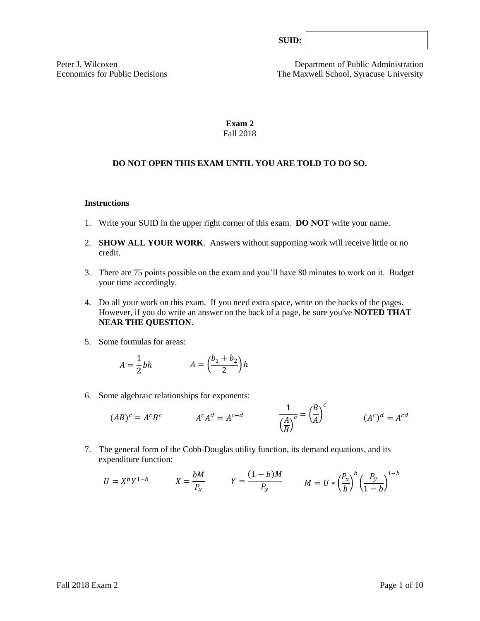Peter J. Wilcoxen Department of Public Administration Economics for Public Decisions The Maxwell School, Syracuse University

# **Exam 2** Fall 2018

# **DO NOT OPEN THIS EXAM UNTIL YOU ARE TOLD TO DO SO.**

#### **Instructions**

- 1. Write your SUID in the upper right corner of this exam. **DO NOT** write your name.
- 2. **SHOW ALL YOUR WORK**. Answers without supporting work will receive little or no credit.
- 3. There are 75 points possible on the exam and you'll have 80 minutes to work on it. Budget your time accordingly.
- 4. Do all your work on this exam. If you need extra space, write on the backs of the pages. However, if you do write an answer on the back of a page, be sure you've **NOTED THAT NEAR THE QUESTION**.
- 5. Some formulas for areas:

$$
A = \frac{1}{2}bh \qquad A = \left(\frac{b_1 + b_2}{2}\right)h
$$

6. Some algebraic relationships for exponents:

$$
(AB)^c = A^c B^c \qquad \qquad A^c A^d = A^{c+d} \qquad \qquad \frac{1}{\left(\frac{A}{B}\right)^c} = \left(\frac{B}{A}\right)^c \qquad \qquad (A^c)^d = A^{cd}
$$

7. The general form of the Cobb-Douglas utility function, its demand equations, and its expenditure function:

$$
U = X^b Y^{1-b} \qquad X = \frac{bM}{P_x} \qquad Y = \frac{(1-b)M}{P_y} \qquad M = U * \left(\frac{P_x}{b}\right)^b \left(\frac{P_y}{1-b}\right)^{1-b}
$$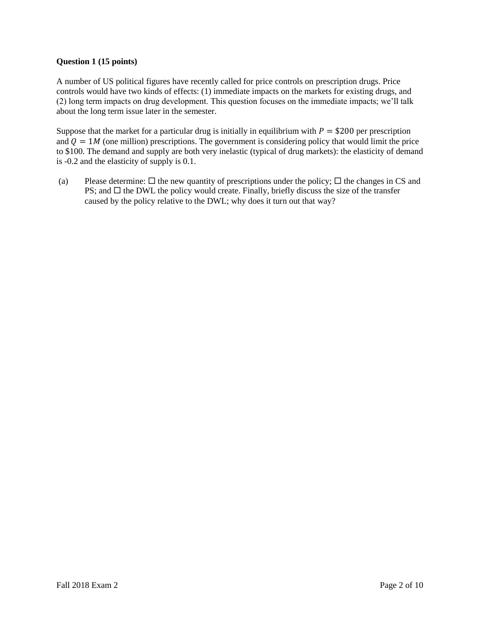# **Question 1 (15 points)**

A number of US political figures have recently called for price controls on prescription drugs. Price controls would have two kinds of effects: (1) immediate impacts on the markets for existing drugs, and (2) long term impacts on drug development. This question focuses on the immediate impacts; we'll talk about the long term issue later in the semester.

Suppose that the market for a particular drug is initially in equilibrium with  $P = $200$  per prescription and  $Q = 1M$  (one million) prescriptions. The government is considering policy that would limit the price to \$100. The demand and supply are both very inelastic (typical of drug markets): the elasticity of demand is -0.2 and the elasticity of supply is 0.1.

(a) Please determine:  $\Box$  the new quantity of prescriptions under the policy;  $\Box$  the changes in CS and PS; and  $\Box$  the DWL the policy would create. Finally, briefly discuss the size of the transfer caused by the policy relative to the DWL; why does it turn out that way?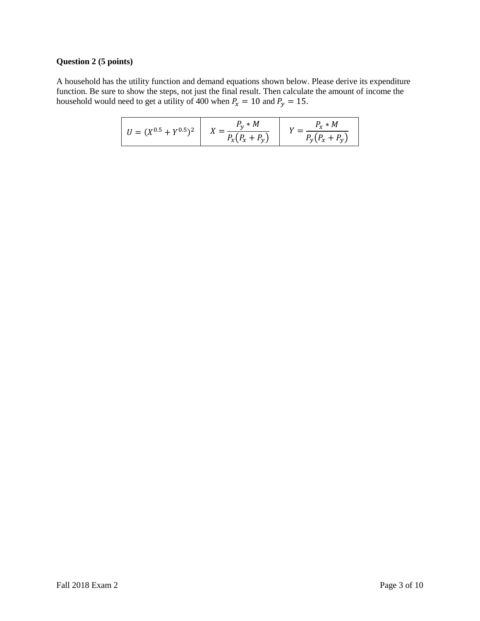#### **Question 2 (5 points)**

A household has the utility function and demand equations shown below. Please derive its expenditure function. Be sure to show the steps, not just the final result. Then calculate the amount of income the household would need to get a utility of 400 when  $P_x = 10$  and  $P_y = 15$ .

| $U = (X^{0.5} + Y^{0.5})^2$ | $P_v * M$<br>$P_{x}(P_{x}+P_{y})$ | $P_r * M$<br>$P_{y}(P_{x}+P_{y})$ |
|-----------------------------|-----------------------------------|-----------------------------------|
|-----------------------------|-----------------------------------|-----------------------------------|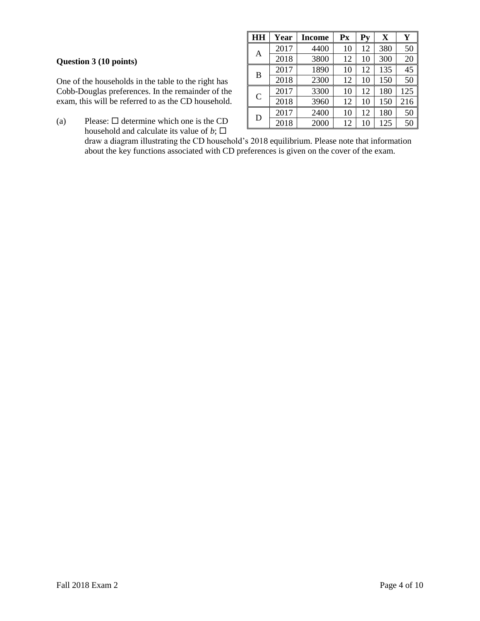# **Question 3 (10 points)**

One of the households in the table to the right has Cobb-Douglas preferences. In the remainder of the exam, this will be referred to as the CD household.

(a) Please:  $\Box$  determine which one is the CD household and calculate its value of  $b$ ;  $\square$ 

| HH            | Year | Income | Px | $P_{V}$ | $\mathbf X$ | Y   |
|---------------|------|--------|----|---------|-------------|-----|
|               | 2017 | 4400   | 10 | 12      | 380         | 50  |
| A             | 2018 | 3800   | 12 | 10      | 300         | 20  |
| B             | 2017 | 1890   | 10 | 12      | 135         | 45  |
|               | 2018 | 2300   | 12 | 10      | 150         | 50  |
| $\mathcal{C}$ | 2017 | 3300   | 10 | 12      | 180         | 125 |
|               | 2018 | 3960   | 12 | 10      | 150         | 216 |
| D             | 2017 | 2400   | 10 | 12      | 180         | 50  |
|               | 2018 | 2000   | 12 | 10      | 125         | 50  |

draw a diagram illustrating the CD household's 2018 equilibrium. Please note that information about the key functions associated with CD preferences is given on the cover of the exam.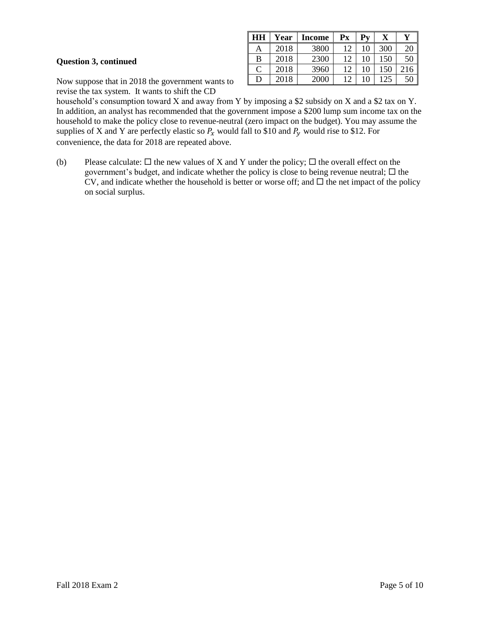# **Question 3, continued**

| HH | Year | <b>Income</b> | Px | Pv |     |     |
|----|------|---------------|----|----|-----|-----|
|    | 2018 | 3800          |    |    | 300 |     |
| В  | 2018 | 2300          | 12 | 10 | 150 | 50  |
| ⊂  | 2018 | 3960          | 12 | 10 | 150 | 216 |
| D  | 2018 | 2000          | 12 |    | 125 |     |

Now suppose that in 2018 the government wants to revise the tax system. It wants to shift the CD

household's consumption toward X and away from Y by imposing a \$2 subsidy on X and a \$2 tax on Y. In addition, an analyst has recommended that the government impose a \$200 lump sum income tax on the household to make the policy close to revenue-neutral (zero impact on the budget). You may assume the supplies of X and Y are perfectly elastic so  $P_x$  would fall to \$10 and  $P_y$  would rise to \$12. For convenience, the data for 2018 are repeated above.

(b) Please calculate:  $\Box$  the new values of X and Y under the policy;  $\Box$  the overall effect on the government's budget, and indicate whether the policy is close to being revenue neutral;  $\Box$  the CV, and indicate whether the household is better or worse off; and  $\Box$  the net impact of the policy on social surplus.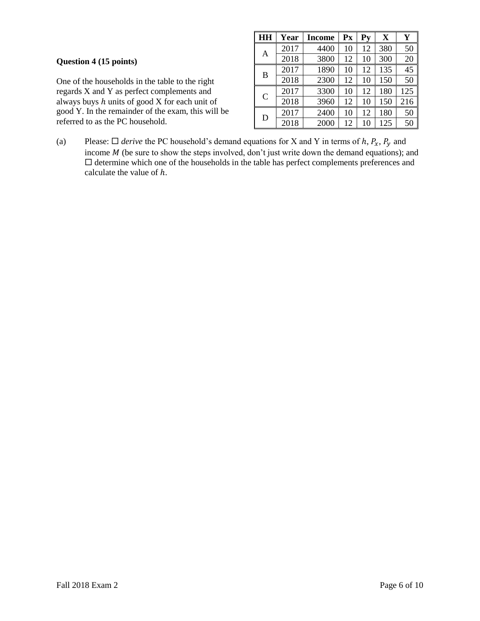| Question 4 (15 points) |  |  |
|------------------------|--|--|
|                        |  |  |

One of the households in the table to the right regards X and Y as perfect complements and always buys  $h$  units of good  $\overrightarrow{X}$  for each unit of good Y. In the remainder of the exam, this will be referred to as the PC household.

| HH           | Year | Income | P <sub>X</sub> | $P_{V}$ | X   | Y   |
|--------------|------|--------|----------------|---------|-----|-----|
|              | 2017 | 4400   | 10             | 12      | 380 | 50  |
| Α            | 2018 | 3800   | 12             | 10      | 300 | 20  |
| B            | 2017 | 1890   | 10             | 12      | 135 | 45  |
|              | 2018 | 2300   | 12             | 10      | 150 | 50  |
| $\mathsf{C}$ | 2017 | 3300   | 10             | 12      | 180 | 125 |
|              | 2018 | 3960   | 12             | 10      | 150 | 216 |
| D            | 2017 | 2400   | 10             | 12      | 180 | 50  |
|              | 2018 | 2000   | 12             | 10      | 125 | 50  |

(a) Please:  $\Box$  *derive* the PC household's demand equations for X and Y in terms of h,  $P_x$ ,  $P_y$  and income  $M$  (be sure to show the steps involved, don't just write down the demand equations); and  $\square$  determine which one of the households in the table has perfect complements preferences and calculate the value of  $h$ .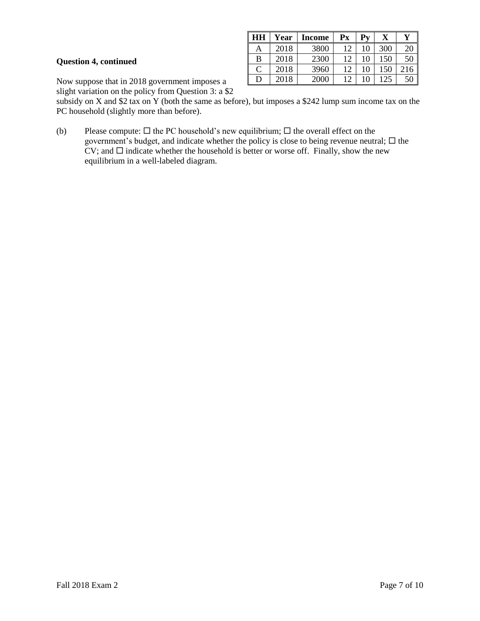#### **Question 4, continued**

| HН | Year | <b>Income</b> | Рx | Pv |     |    |
|----|------|---------------|----|----|-----|----|
| A  | 2018 | 3800          | 12 | 10 | 300 | 20 |
| B  | 2018 | 2300          | 12 | 10 | 150 | 50 |
| C  | 2018 | 3960          | 12 | 10 | 150 |    |
| D  | 2018 | 2000          | 12 |    | .25 | 50 |

Now suppose that in 2018 government imposes a

slight variation on the policy from Question 3: a \$2

subsidy on X and \$2 tax on Y (both the same as before), but imposes a \$242 lump sum income tax on the PC household (slightly more than before).

(b) Please compute:  $\Box$  the PC household's new equilibrium;  $\Box$  the overall effect on the government's budget, and indicate whether the policy is close to being revenue neutral;  $\Box$  the  $CV$ ; and  $\square$  indicate whether the household is better or worse off. Finally, show the new equilibrium in a well-labeled diagram.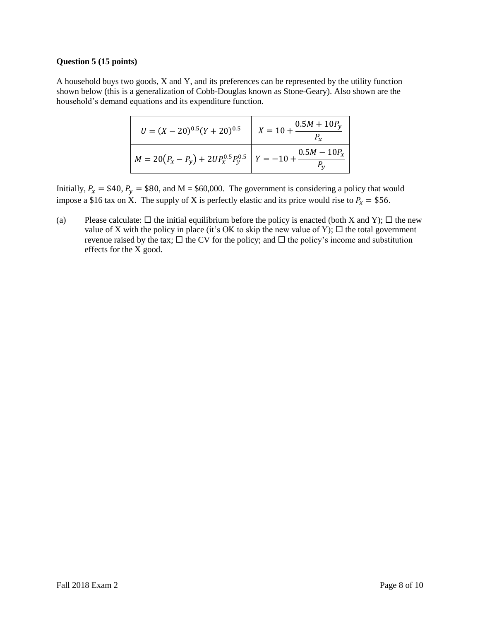#### **Question 5 (15 points)**

A household buys two goods, X and Y, and its preferences can be represented by the utility function shown below (this is a generalization of Cobb-Douglas known as Stone-Geary). Also shown are the household's demand equations and its expenditure function.

| $U = (X - 20)^{0.5} (Y + 20)^{0.5}$                                   | $X = 10 + \frac{0.5M + 10P_y}{\sqrt{10}}$ |
|-----------------------------------------------------------------------|-------------------------------------------|
| $M = 20(P_x - P_y) + 2UP_x^{0.5}P_y^{0.5}$ $Y = -10 + \frac{0.5}{10}$ | $0.5M-10P_x$                              |

Initially,  $P_x = $40$ ,  $P_y = $80$ , and M = \$60,000. The government is considering a policy that would impose a \$16 tax on X. The supply of X is perfectly elastic and its price would rise to  $P_x = $56$ .

(a) Please calculate:  $\Box$  the initial equilibrium before the policy is enacted (both X and Y);  $\Box$  the new value of X with the policy in place (it's OK to skip the new value of Y);  $\Box$  the total government revenue raised by the tax;  $\Box$  the CV for the policy; and  $\Box$  the policy's income and substitution effects for the X good.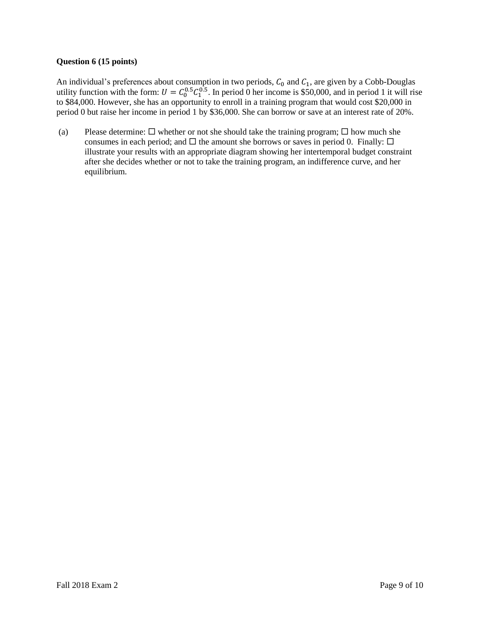# **Question 6 (15 points)**

An individual's preferences about consumption in two periods,  $C_0$  and  $C_1$ , are given by a Cobb-Douglas utility function with the form:  $U = C_0^{0.5} C_1^{0.5}$ . In period 0 her income is \$50,000, and in period 1 it will rise to \$84,000. However, she has an opportunity to enroll in a training program that would cost \$20,000 in period 0 but raise her income in period 1 by \$36,000. She can borrow or save at an interest rate of 20%.

(a) Please determine:  $\Box$  whether or not she should take the training program;  $\Box$  how much she consumes in each period; and  $\Box$  the amount she borrows or saves in period 0. Finally:  $\Box$ illustrate your results with an appropriate diagram showing her intertemporal budget constraint after she decides whether or not to take the training program, an indifference curve, and her equilibrium.